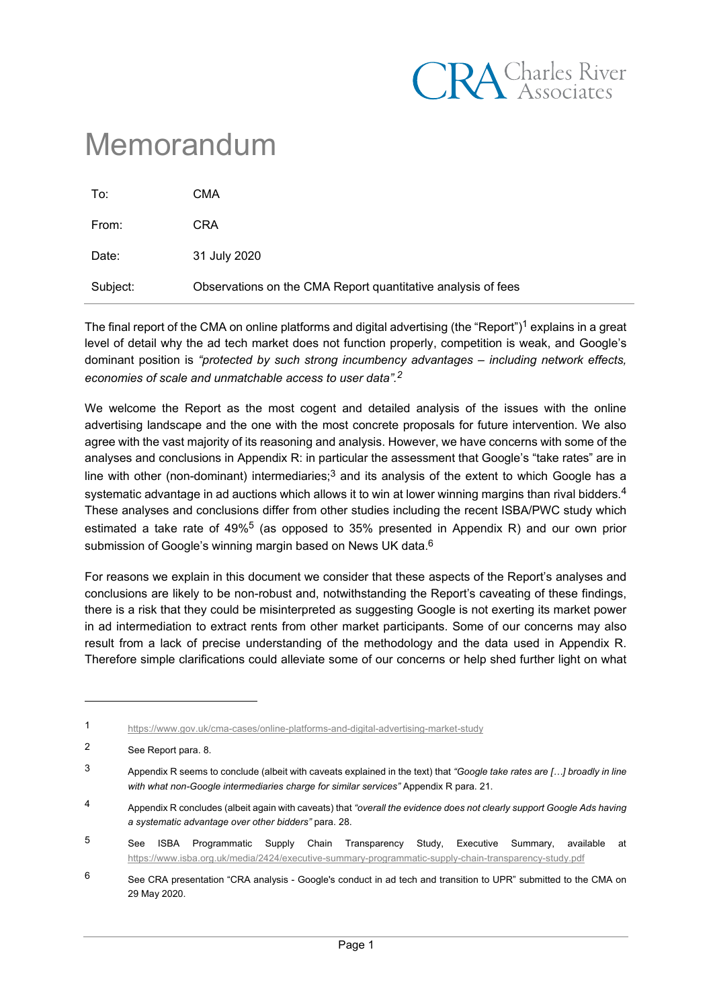

# Memorandum

| To:      | CMA                                                          |
|----------|--------------------------------------------------------------|
| From:    | <b>CRA</b>                                                   |
| Date:    | 31 July 2020                                                 |
| Subject: | Observations on the CMA Report quantitative analysis of fees |

The final report of the CMA on online platforms and digital advertising (the "Report")<sup>1</sup> explains in a great level of detail why the ad tech market does not function properly, competition is weak, and Google's dominant position is *"protected by such strong incumbency advantages – including network effects, economies of scale and unmatchable access to user data". 2*

We welcome the Report as the most cogent and detailed analysis of the issues with the online advertising landscape and the one with the most concrete proposals for future intervention. We also agree with the vast majority of its reasoning and analysis. However, we have concerns with some of the analyses and conclusions in Appendix R: in particular the assessment that Google's "take rates" are in line with other (non-dominant) intermediaries;<sup>3</sup> and its analysis of the extent to which Google has a systematic advantage in ad auctions which allows it to win at lower winning margins than rival bidders. $4$ These analyses and conclusions differ from other studies including the recent ISBA/PWC study which estimated a take rate of  $49\%$ <sup>5</sup> (as opposed to 35% presented in Appendix R) and our own prior submission of Google's winning margin based on News UK data. $^6$ 

For reasons we explain in this document we consider that these aspects of the Report's analyses and conclusions are likely to be non-robust and, notwithstanding the Report's caveating of these findings, there is a risk that they could be misinterpreted as suggesting Google is not exerting its market power in ad intermediation to extract rents from other market participants. Some of our concerns may also result from a lack of precise understanding of the methodology and the data used in Appendix R. Therefore simple clarifications could alleviate some of our concerns or help shed further light on what

<sup>1</sup> <https://www.gov.uk/cma-cases/online-platforms-and-digital-advertising-market-study>

<sup>2</sup> See Report para. 8.

<sup>3</sup> Appendix R seems to conclude (albeit with caveats explained in the text) that *"Google take rates are […] broadly in line with what non-Google intermediaries charge for similar services"* Appendix R para. 21.

<sup>4</sup> Appendix R concludes (albeit again with caveats) that *"overall the evidence does not clearly support Google Ads having a systematic advantage over other bidders"* para. 28.

<sup>5</sup> See ISBA Programmatic Supply Chain Transparency Study, Executive Summary, available at <https://www.isba.org.uk/media/2424/executive-summary-programmatic-supply-chain-transparency-study.pdf>

<sup>&</sup>lt;sup>6</sup> See CRA presentation "CRA analysis - Google's conduct in ad tech and transition to UPR" submitted to the CMA on 29 May 2020.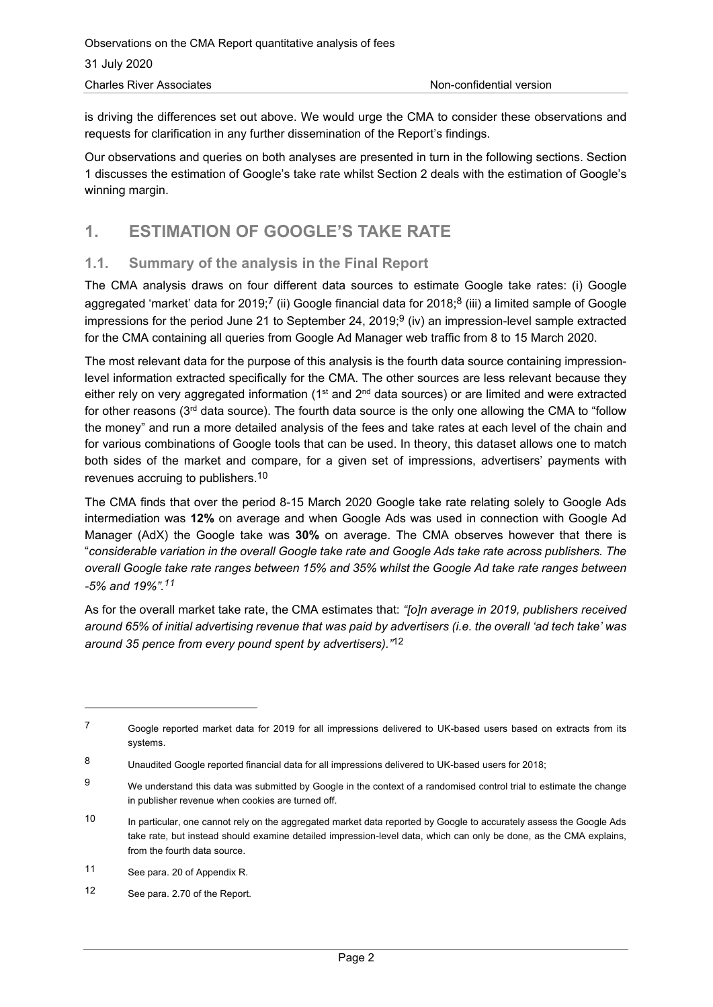is driving the differences set out above. We would urge the CMA to consider these observations and requests for clarification in any further dissemination of the Report's findings.

Our observations and queries on both analyses are presented in turn in the following sections. Section 1 discusses the estimation of Google's take rate whilst Section 2 deals with the estimation of Google's winning margin.

# **1. ESTIMATION OF GOOGLE'S TAKE RATE**

### **1.1. Summary of the analysis in the Final Report**

The CMA analysis draws on four different data sources to estimate Google take rates: (i) Google aggregated 'market' data for 2019;<sup>7</sup> (ii) Google financial data for 2018;<sup>8</sup> (iii) a limited sample of Google impressions for the period June 21 to September 24, 2019; $^9$  (iv) an impression-level sample extracted for the CMA containing all queries from Google Ad Manager web traffic from 8 to 15 March 2020.

The most relevant data for the purpose of this analysis is the fourth data source containing impressionlevel information extracted specifically for the CMA. The other sources are less relevant because they either rely on very aggregated information ( $1<sup>st</sup>$  and  $2<sup>nd</sup>$  data sources) or are limited and were extracted for other reasons (3rd data source). The fourth data source is the only one allowing the CMA to "follow the money" and run a more detailed analysis of the fees and take rates at each level of the chain and for various combinations of Google tools that can be used. In theory, this dataset allows one to match both sides of the market and compare, for a given set of impressions, advertisers' payments with revenues accruing to publishers. 10

The CMA finds that over the period 8-15 March 2020 Google take rate relating solely to Google Ads intermediation was **12%** on average and when Google Ads was used in connection with Google Ad Manager (AdX) the Google take was **30%** on average. The CMA observes however that there is "*considerable variation in the overall Google take rate and Google Ads take rate across publishers. The overall Google take rate ranges between 15% and 35% whilst the Google Ad take rate ranges between -5% and 19%". 11*

As for the overall market take rate, the CMA estimates that: *"[o]n average in 2019, publishers received around 65% of initial advertising revenue that was paid by advertisers (i.e. the overall 'ad tech take' was around 35 pence from every pound spent by advertisers)."*<sup>12</sup>

<sup>7</sup> Google reported market data for 2019 for all impressions delivered to UK-based users based on extracts from its systems.

<sup>8</sup> Unaudited Google reported financial data for all impressions delivered to UK-based users for 2018;

 $9$  We understand this data was submitted by Google in the context of a randomised control trial to estimate the change in publisher revenue when cookies are turned off.

<sup>10</sup> In particular, one cannot rely on the aggregated market data reported by Google to accurately assess the Google Ads take rate, but instead should examine detailed impression-level data, which can only be done, as the CMA explains, from the fourth data source.

<sup>11</sup> See para. 20 of Appendix R.

<sup>12</sup> See para. 2.70 of the Report.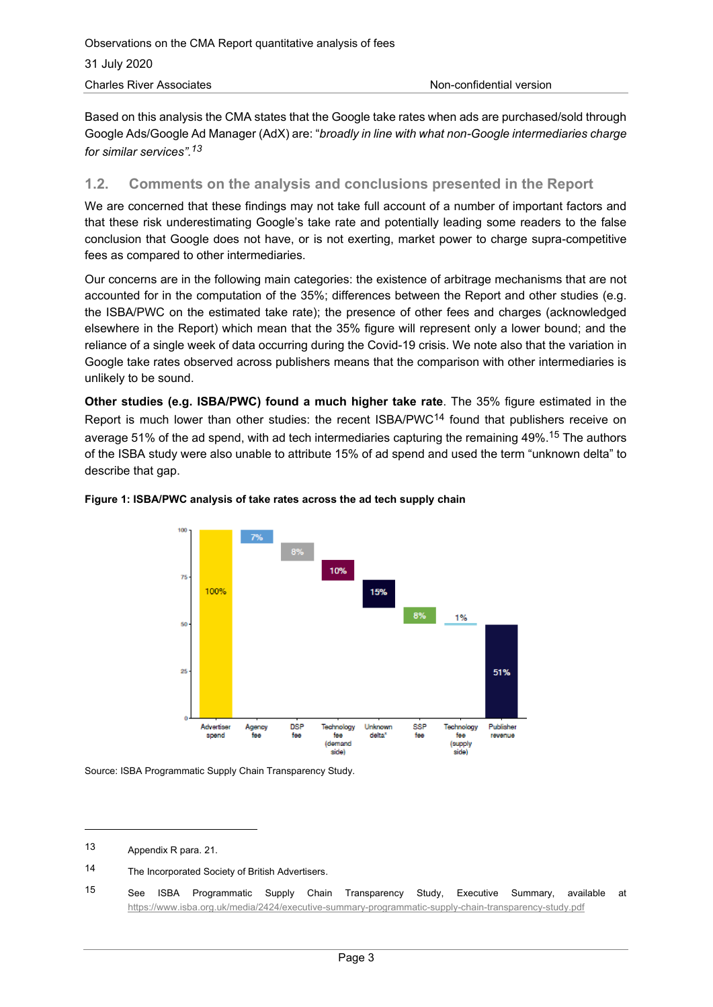Based on this analysis the CMA states that the Google take rates when ads are purchased/sold through Google Ads/Google Ad Manager (AdX) are: "*broadly in line with what non-Google intermediaries charge for similar services". 13*

#### **1.2. Comments on the analysis and conclusions presented in the Report**

We are concerned that these findings may not take full account of a number of important factors and that these risk underestimating Google's take rate and potentially leading some readers to the false conclusion that Google does not have, or is not exerting, market power to charge supra-competitive fees as compared to other intermediaries.

Our concerns are in the following main categories: the existence of arbitrage mechanisms that are not accounted for in the computation of the 35%; differences between the Report and other studies (e.g. the ISBA/PWC on the estimated take rate); the presence of other fees and charges (acknowledged elsewhere in the Report) which mean that the 35% figure will represent only a lower bound; and the reliance of a single week of data occurring during the Covid-19 crisis. We note also that the variation in Google take rates observed across publishers means that the comparison with other intermediaries is unlikely to be sound.

**Other studies (e.g. ISBA/PWC) found a much higher take rate**. The 35% figure estimated in the Report is much lower than other studies: the recent ISBA/PWC<sup>14</sup> found that publishers receive on average 51% of the ad spend, with ad tech intermediaries capturing the remaining 49%. <sup>15</sup> The authors of the ISBA study were also unable to attribute 15% of ad spend and used the term "unknown delta" to describe that gap.



#### **Figure 1: ISBA/PWC analysis of take rates across the ad tech supply chain**

Source: ISBA Programmatic Supply Chain Transparency Study.

<sup>13</sup> Appendix R para. 21.

<sup>14</sup> The Incorporated Society of British Advertisers.

<sup>15</sup> See ISBA Programmatic Supply Chain Transparency Study, Executive Summary, available at <https://www.isba.org.uk/media/2424/executive-summary-programmatic-supply-chain-transparency-study.pdf>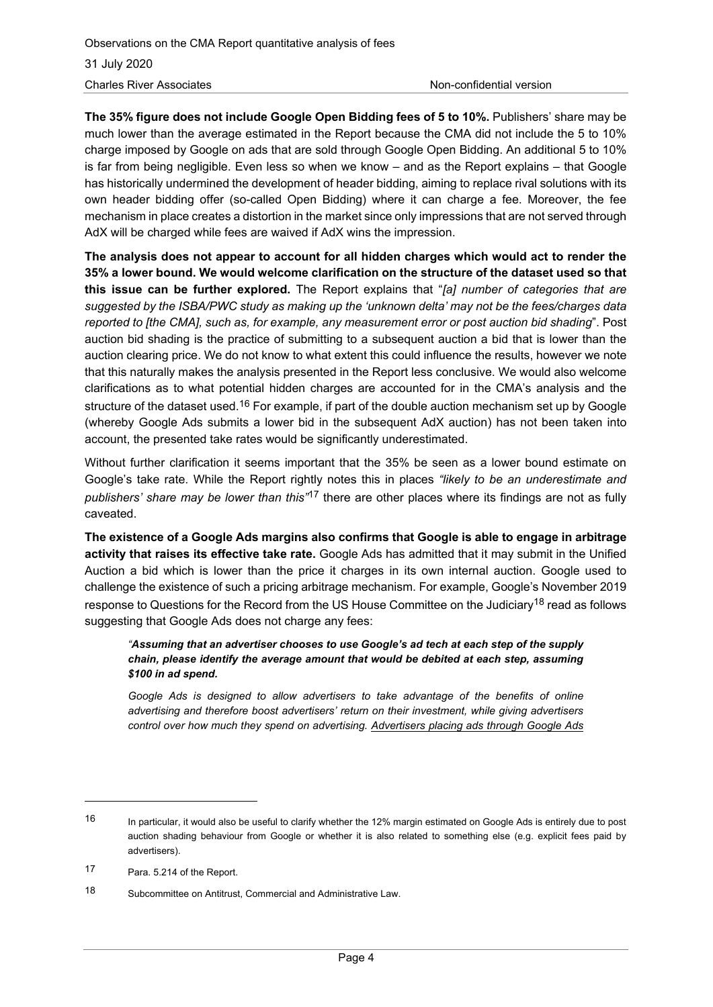**The 35% figure does not include Google Open Bidding fees of 5 to 10%.** Publishers' share may be much lower than the average estimated in the Report because the CMA did not include the 5 to 10% charge imposed by Google on ads that are sold through Google Open Bidding. An additional 5 to 10% is far from being negligible. Even less so when we know – and as the Report explains – that Google has historically undermined the development of header bidding, aiming to replace rival solutions with its own header bidding offer (so-called Open Bidding) where it can charge a fee. Moreover, the fee mechanism in place creates a distortion in the market since only impressions that are not served through AdX will be charged while fees are waived if AdX wins the impression.

**The analysis does not appear to account for all hidden charges which would act to render the 35% a lower bound. We would welcome clarification on the structure of the dataset used so that this issue can be further explored.** The Report explains that "*[a] number of categories that are suggested by the ISBA/PWC study as making up the 'unknown delta' may not be the fees/charges data reported to [the CMA], such as, for example, any measurement error or post auction bid shading*". Post auction bid shading is the practice of submitting to a subsequent auction a bid that is lower than the auction clearing price. We do not know to what extent this could influence the results, however we note that this naturally makes the analysis presented in the Report less conclusive. We would also welcome clarifications as to what potential hidden charges are accounted for in the CMA's analysis and the structure of the dataset used.<sup>16</sup> For example, if part of the double auction mechanism set up by Google (whereby Google Ads submits a lower bid in the subsequent AdX auction) has not been taken into account, the presented take rates would be significantly underestimated.

Without further clarification it seems important that the 35% be seen as a lower bound estimate on Google's take rate. While the Report rightly notes this in places *"likely to be an underestimate and publishers' share may be lower than this"*<sup>17</sup> there are other places where its findings are not as fully caveated.

**The existence of a Google Ads margins also confirms that Google is able to engage in arbitrage activity that raises its effective take rate.** Google Ads has admitted that it may submit in the Unified Auction a bid which is lower than the price it charges in its own internal auction. Google used to challenge the existence of such a pricing arbitrage mechanism. For example, Google's November 2019 response to Questions for the Record from the US House Committee on the Judiciary<sup>18</sup> read as follows suggesting that Google Ads does not charge any fees:

#### *"Assuming that an advertiser chooses to use Google's ad tech at each step of the supply chain, please identify the average amount that would be debited at each step, assuming \$100 in ad spend.*

*Google Ads is designed to allow advertisers to take advantage of the benefits of online advertising and therefore boost advertisers' return on their investment, while giving advertisers control over how much they spend on advertising. Advertisers placing ads through Google Ads* 

<sup>16</sup> In particular, it would also be useful to clarify whether the 12% margin estimated on Google Ads is entirely due to post auction shading behaviour from Google or whether it is also related to something else (e.g. explicit fees paid by advertisers).

<sup>17</sup> Para. 5.214 of the Report.

<sup>18</sup> Subcommittee on Antitrust, Commercial and Administrative Law.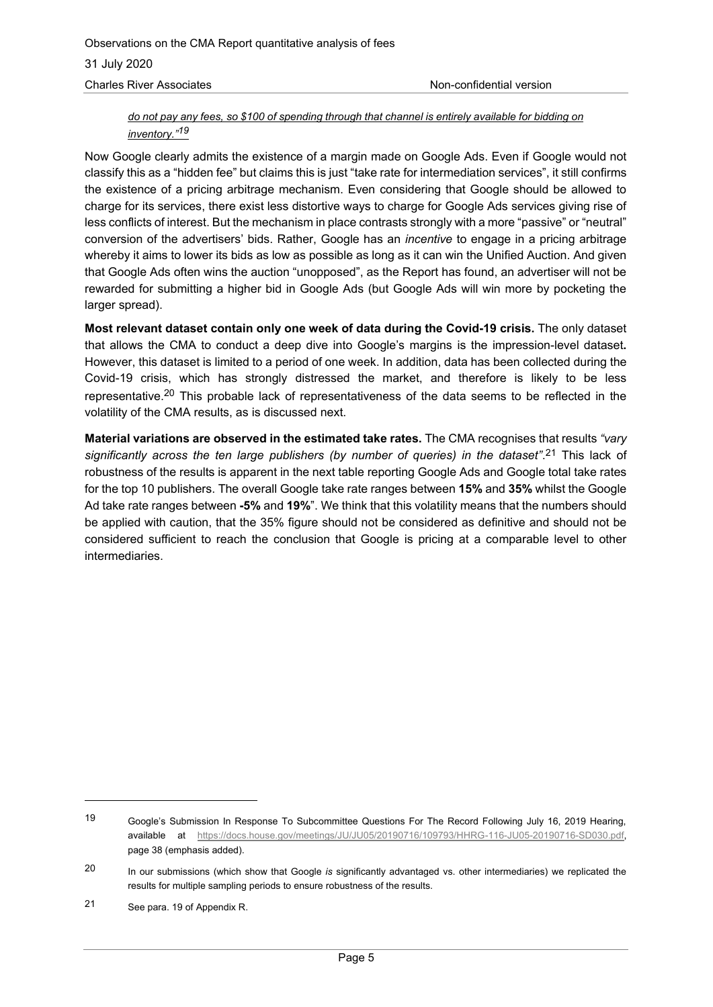#### *do not pay any fees, so \$100 of spending through that channel is entirely available for bidding on inventory." 19*

Now Google clearly admits the existence of a margin made on Google Ads. Even if Google would not classify this as a "hidden fee" but claims this is just "take rate for intermediation services", it still confirms the existence of a pricing arbitrage mechanism. Even considering that Google should be allowed to charge for its services, there exist less distortive ways to charge for Google Ads services giving rise of less conflicts of interest. But the mechanism in place contrasts strongly with a more "passive" or "neutral" conversion of the advertisers' bids. Rather, Google has an *incentive* to engage in a pricing arbitrage whereby it aims to lower its bids as low as possible as long as it can win the Unified Auction. And given that Google Ads often wins the auction "unopposed", as the Report has found, an advertiser will not be rewarded for submitting a higher bid in Google Ads (but Google Ads will win more by pocketing the larger spread).

**Most relevant dataset contain only one week of data during the Covid-19 crisis.** The only dataset that allows the CMA to conduct a deep dive into Google's margins is the impression-level dataset**.**  However, this dataset is limited to a period of one week. In addition, data has been collected during the Covid-19 crisis, which has strongly distressed the market, and therefore is likely to be less representative.<sup>20</sup> This probable lack of representativeness of the data seems to be reflected in the volatility of the CMA results, as is discussed next.

**Material variations are observed in the estimated take rates.** The CMA recognises that results *"vary* significantly across the ten large publishers (by number of queries) in the dataset".<sup>21</sup> This lack of robustness of the results is apparent in the next table reporting Google Ads and Google total take rates for the top 10 publishers. The overall Google take rate ranges between **15%** and **35%** whilst the Google Ad take rate ranges between **-5%** and **19%**". We think that this volatility means that the numbers should be applied with caution, that the 35% figure should not be considered as definitive and should not be considered sufficient to reach the conclusion that Google is pricing at a comparable level to other intermediaries.

<sup>19</sup> Google's Submission In Response To Subcommittee Questions For The Record Following July 16, 2019 Hearing, available at [https://docs.house.gov/meetings/JU/JU05/20190716/109793/HHRG-116-JU05-20190716-SD030.pdf,](https://docs.house.gov/meetings/JU/JU05/20190716/109793/HHRG-116-JU05-20190716-SD030.pdf) page 38 (emphasis added).

<sup>20</sup> In our submissions (which show that Google *is* significantly advantaged vs. other intermediaries) we replicated the results for multiple sampling periods to ensure robustness of the results.

<sup>21</sup> See para. 19 of Appendix R.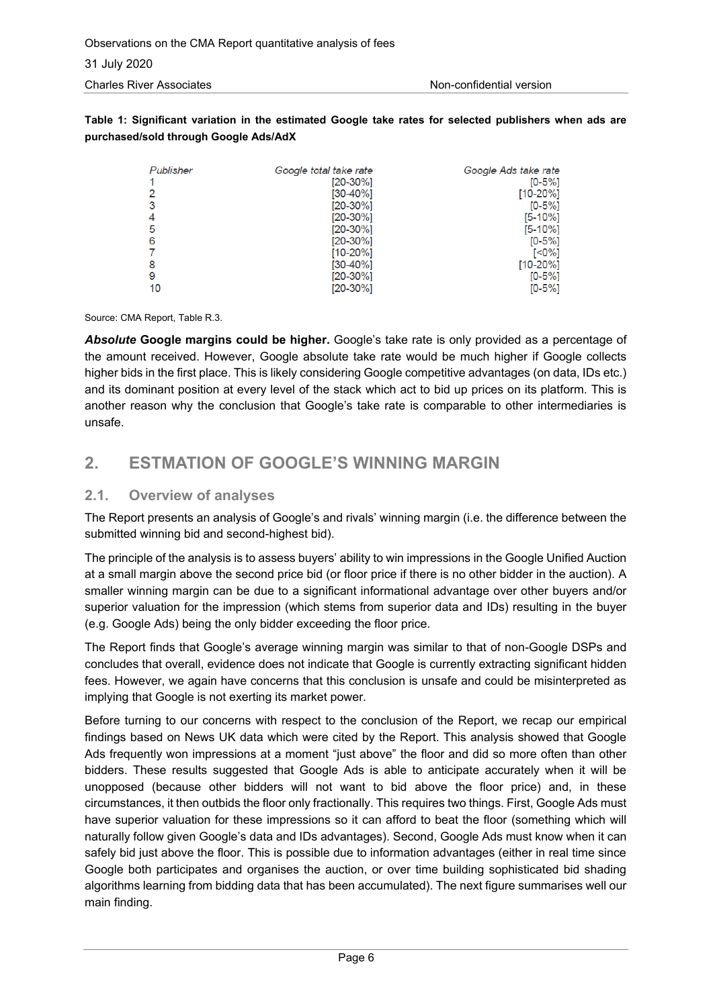#### **Table 1: Significant variation in the estimated Google take rates for selected publishers when ads are purchased/sold through Google Ads/AdX**

| Publisher | Google total take rate | Google Ads take rate |
|-----------|------------------------|----------------------|
|           | [20-30%]               | $[0 - 5\%]$          |
|           | $[30-40\%]$            | $[10-20\%]$          |
| 3         | $[20-30\%]$            | $[0-5%]$             |
|           | $[20-30\%]$            | $[5 - 10\%]$         |
| 5         | $[20-30\%]$            | $[5 - 10\%]$         |
| 6         | $[20-30\%]$            | $[0 - 5\%]$          |
|           | [10-20%]               | [<0%]                |
| 8         | $[30-40\%]$            | $[10-20\%]$          |
| 9         | $[20-30\%]$            | $[0 - 5\%]$          |
| 10        | [20-30%]               | $[0 - 5\%]$          |

Source: CMA Report, Table R.3.

*Absolute* **Google margins could be higher.** Google's take rate is only provided as a percentage of the amount received. However, Google absolute take rate would be much higher if Google collects higher bids in the first place. This is likely considering Google competitive advantages (on data, IDs etc.) and its dominant position at every level of the stack which act to bid up prices on its platform. This is another reason why the conclusion that Google's take rate is comparable to other intermediaries is unsafe.

## **2. ESTMATION OF GOOGLE'S WINNING MARGIN**

### **2.1. Overview of analyses**

The Report presents an analysis of Google's and rivals' winning margin (i.e. the difference between the submitted winning bid and second-highest bid).

The principle of the analysis is to assess buyers' ability to win impressions in the Google Unified Auction at a small margin above the second price bid (or floor price if there is no other bidder in the auction). A smaller winning margin can be due to a significant informational advantage over other buyers and/or superior valuation for the impression (which stems from superior data and IDs) resulting in the buyer (e.g. Google Ads) being the only bidder exceeding the floor price.

The Report finds that Google's average winning margin was similar to that of non-Google DSPs and concludes that overall, evidence does not indicate that Google is currently extracting significant hidden fees. However, we again have concerns that this conclusion is unsafe and could be misinterpreted as implying that Google is not exerting its market power.

Before turning to our concerns with respect to the conclusion of the Report, we recap our empirical findings based on News UK data which were cited by the Report. This analysis showed that Google Ads frequently won impressions at a moment "just above" the floor and did so more often than other bidders. These results suggested that Google Ads is able to anticipate accurately when it will be unopposed (because other bidders will not want to bid above the floor price) and, in these circumstances, it then outbids the floor only fractionally. This requires two things. First, Google Ads must have superior valuation for these impressions so it can afford to beat the floor (something which will naturally follow given Google's data and IDs advantages). Second, Google Ads must know when it can safely bid just above the floor. This is possible due to information advantages (either in real time since Google both participates and organises the auction, or over time building sophisticated bid shading algorithms learning from bidding data that has been accumulated). The next figure summarises well our main finding.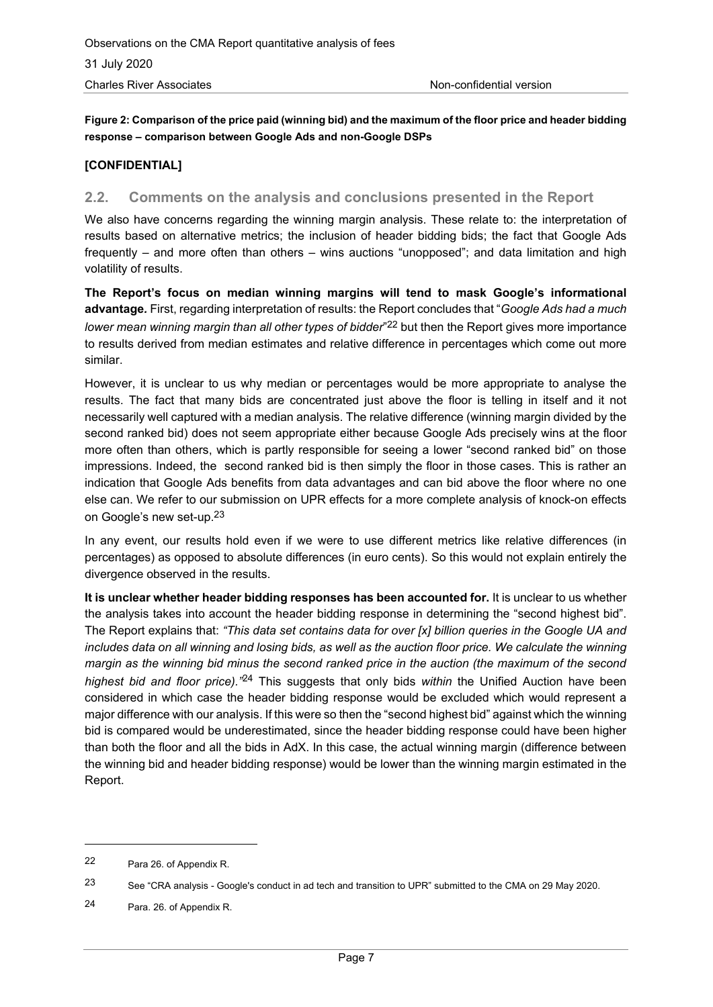**Figure 2: Comparison of the price paid (winning bid) and the maximum of the floor price and header bidding response – comparison between Google Ads and non-Google DSPs**

#### **[CONFIDENTIAL]**

#### **2.2. Comments on the analysis and conclusions presented in the Report**

We also have concerns regarding the winning margin analysis. These relate to: the interpretation of results based on alternative metrics; the inclusion of header bidding bids; the fact that Google Ads frequently – and more often than others – wins auctions "unopposed"; and data limitation and high volatility of results.

**The Report's focus on median winning margins will tend to mask Google's informational advantage***.* First, regarding interpretation of results: the Report concludes that "*Google Ads had a much*  lower mean winning margin than all other types of bidder"<sup>22</sup> but then the Report gives more importance to results derived from median estimates and relative difference in percentages which come out more similar.

However, it is unclear to us why median or percentages would be more appropriate to analyse the results. The fact that many bids are concentrated just above the floor is telling in itself and it not necessarily well captured with a median analysis. The relative difference (winning margin divided by the second ranked bid) does not seem appropriate either because Google Ads precisely wins at the floor more often than others, which is partly responsible for seeing a lower "second ranked bid" on those impressions. Indeed, the second ranked bid is then simply the floor in those cases. This is rather an indication that Google Ads benefits from data advantages and can bid above the floor where no one else can. We refer to our submission on UPR effects for a more complete analysis of knock-on effects on Google's new set-up.<sup>23</sup>

In any event, our results hold even if we were to use different metrics like relative differences (in percentages) as opposed to absolute differences (in euro cents). So this would not explain entirely the divergence observed in the results.

**It is unclear whether header bidding responses has been accounted for.** It is unclear to us whether the analysis takes into account the header bidding response in determining the "second highest bid". The Report explains that: *"This data set contains data for over [x] billion queries in the Google UA and includes data on all winning and losing bids, as well as the auction floor price. We calculate the winning margin as the winning bid minus the second ranked price in the auction (the maximum of the second highest bid and floor price)."*<sup>24</sup> This suggests that only bids *within* the Unified Auction have been considered in which case the header bidding response would be excluded which would represent a major difference with our analysis. If this were so then the "second highest bid" against which the winning bid is compared would be underestimated, since the header bidding response could have been higher than both the floor and all the bids in AdX. In this case, the actual winning margin (difference between the winning bid and header bidding response) would be lower than the winning margin estimated in the Report.

<sup>22</sup> Para 26. of Appendix R.

<sup>23</sup> See "CRA analysis - Google's conduct in ad tech and transition to UPR" submitted to the CMA on 29 May 2020.

<sup>24</sup> Para. 26. of Appendix R.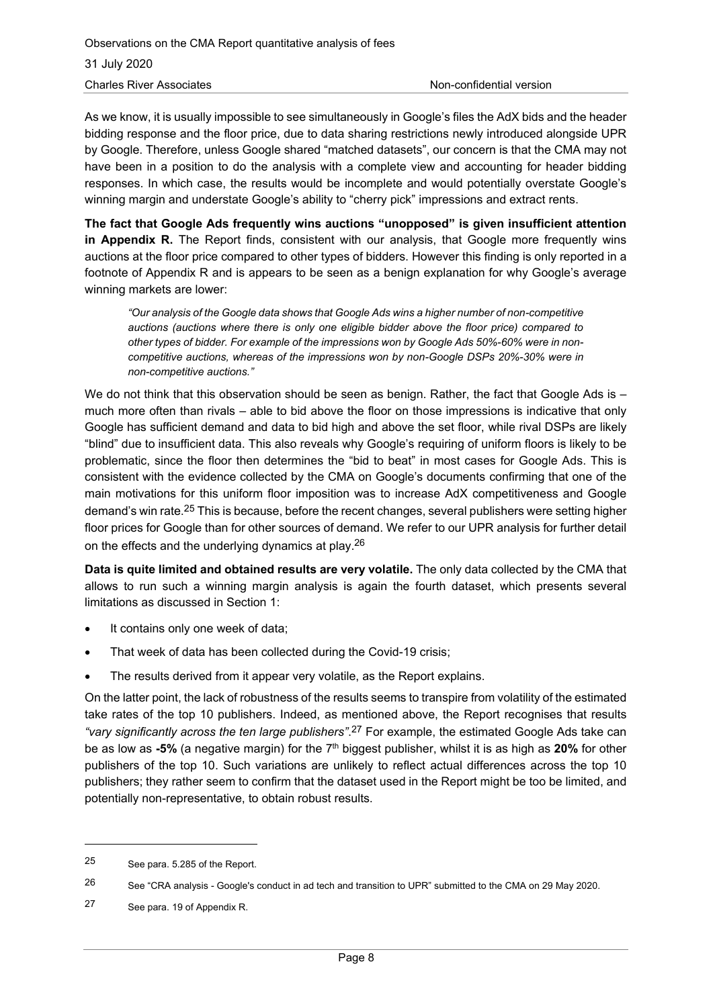As we know, it is usually impossible to see simultaneously in Google's files the AdX bids and the header bidding response and the floor price, due to data sharing restrictions newly introduced alongside UPR by Google. Therefore, unless Google shared "matched datasets", our concern is that the CMA may not have been in a position to do the analysis with a complete view and accounting for header bidding responses. In which case, the results would be incomplete and would potentially overstate Google's winning margin and understate Google's ability to "cherry pick" impressions and extract rents.

**The fact that Google Ads frequently wins auctions "unopposed" is given insufficient attention in Appendix R.** The Report finds, consistent with our analysis, that Google more frequently wins auctions at the floor price compared to other types of bidders. However this finding is only reported in a footnote of Appendix R and is appears to be seen as a benign explanation for why Google's average winning markets are lower:

*"Our analysis of the Google data shows that Google Ads wins a higher number of non-competitive auctions (auctions where there is only one eligible bidder above the floor price) compared to other types of bidder. For example of the impressions won by Google Ads 50%-60% were in noncompetitive auctions, whereas of the impressions won by non-Google DSPs 20%-30% were in non-competitive auctions."*

We do not think that this observation should be seen as benign. Rather, the fact that Google Ads is much more often than rivals – able to bid above the floor on those impressions is indicative that only Google has sufficient demand and data to bid high and above the set floor, while rival DSPs are likely "blind" due to insufficient data. This also reveals why Google's requiring of uniform floors is likely to be problematic, since the floor then determines the "bid to beat" in most cases for Google Ads. This is consistent with the evidence collected by the CMA on Google's documents confirming that one of the main motivations for this uniform floor imposition was to increase AdX competitiveness and Google demand's win rate.<sup>25</sup> This is because, before the recent changes, several publishers were setting higher floor prices for Google than for other sources of demand. We refer to our UPR analysis for further detail on the effects and the underlying dynamics at play.<sup>26</sup>

**Data is quite limited and obtained results are very volatile.** The only data collected by the CMA that allows to run such a winning margin analysis is again the fourth dataset, which presents several limitations as discussed in Section 1:

- It contains only one week of data;
- That week of data has been collected during the Covid-19 crisis;
- The results derived from it appear very volatile, as the Report explains.

On the latter point, the lack of robustness of the results seems to transpire from volatility of the estimated take rates of the top 10 publishers. Indeed, as mentioned above, the Report recognises that results *"vary significantly across the ten large publishers"*. <sup>27</sup> For example, the estimated Google Ads take can be as low as **-5%** (a negative margin) for the 7th biggest publisher, whilst it is as high as **20%** for other publishers of the top 10. Such variations are unlikely to reflect actual differences across the top 10 publishers; they rather seem to confirm that the dataset used in the Report might be too be limited, and potentially non-representative, to obtain robust results.

<sup>25</sup> See para. 5.285 of the Report.

<sup>26</sup> See "CRA analysis - Google's conduct in ad tech and transition to UPR" submitted to the CMA on 29 May 2020.

<sup>27</sup> See para. 19 of Appendix R.